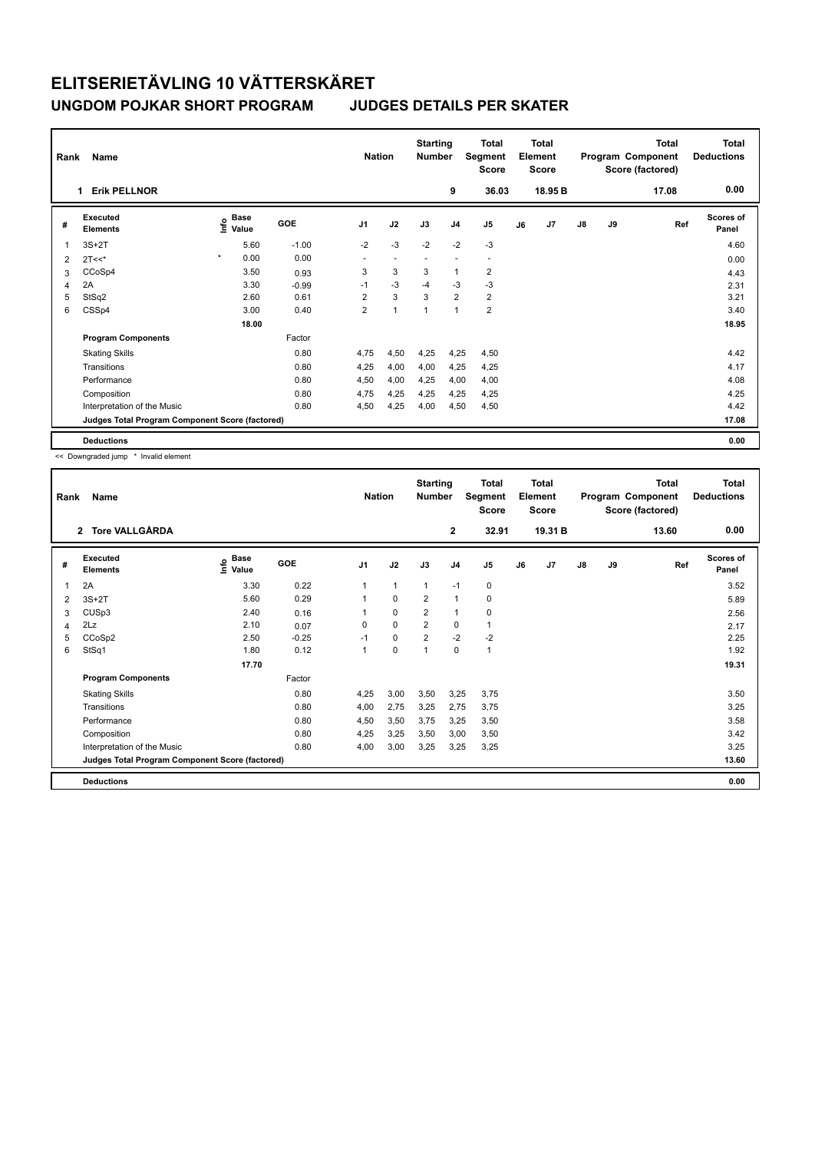| Rank           | Name                                            |         |                      |            | <b>Nation</b>  |                | <b>Starting</b><br><b>Number</b> |                          | <b>Total</b><br>Segment<br><b>Score</b> |    | <b>Total</b><br>Element<br><b>Score</b> |               |    | <b>Total</b><br>Program Component<br>Score (factored) | <b>Total</b><br><b>Deductions</b> |
|----------------|-------------------------------------------------|---------|----------------------|------------|----------------|----------------|----------------------------------|--------------------------|-----------------------------------------|----|-----------------------------------------|---------------|----|-------------------------------------------------------|-----------------------------------|
|                | <b>Erik PELLNOR</b><br>1                        |         |                      |            |                |                |                                  | 9                        | 36.03                                   |    | 18.95 <sub>B</sub>                      |               |    | 17.08                                                 | 0.00                              |
| #              | Executed<br><b>Elements</b>                     | Info    | <b>Base</b><br>Value | <b>GOE</b> | J <sub>1</sub> | J2             | J3                               | J <sub>4</sub>           | J <sub>5</sub>                          | J6 | J <sub>7</sub>                          | $\mathsf{J}8$ | J9 | Ref                                                   | Scores of<br>Panel                |
| $\overline{1}$ | $3S+2T$                                         |         | 5.60                 | $-1.00$    | $-2$           | $-3$           | $-2$                             | $-2$                     | $-3$                                    |    |                                         |               |    |                                                       | 4.60                              |
| 2              | $2T<<$ *                                        | $\star$ | 0.00                 | 0.00       | ٠              | $\blacksquare$ | $\overline{\phantom{a}}$         | $\overline{\phantom{a}}$ | $\overline{\phantom{a}}$                |    |                                         |               |    |                                                       | 0.00                              |
| 3              | CCoSp4                                          |         | 3.50                 | 0.93       | 3              | 3              | 3                                | $\mathbf{1}$             | $\overline{\mathbf{c}}$                 |    |                                         |               |    |                                                       | 4.43                              |
| 4              | 2A                                              |         | 3.30                 | $-0.99$    | $-1$           | $-3$           | $-4$                             | $-3$                     | $-3$                                    |    |                                         |               |    |                                                       | 2.31                              |
| 5              | StSq2                                           |         | 2.60                 | 0.61       | 2              | 3              | 3                                | $\overline{2}$           | 2                                       |    |                                         |               |    |                                                       | 3.21                              |
| 6              | CSSp4                                           |         | 3.00                 | 0.40       | $\overline{2}$ | $\overline{1}$ | 1                                | $\overline{1}$           | $\overline{2}$                          |    |                                         |               |    |                                                       | 3.40                              |
|                |                                                 |         | 18.00                |            |                |                |                                  |                          |                                         |    |                                         |               |    |                                                       | 18.95                             |
|                | <b>Program Components</b>                       |         |                      | Factor     |                |                |                                  |                          |                                         |    |                                         |               |    |                                                       |                                   |
|                | <b>Skating Skills</b>                           |         |                      | 0.80       | 4.75           | 4,50           | 4,25                             | 4,25                     | 4,50                                    |    |                                         |               |    |                                                       | 4.42                              |
|                | Transitions                                     |         |                      | 0.80       | 4,25           | 4,00           | 4,00                             | 4,25                     | 4,25                                    |    |                                         |               |    |                                                       | 4.17                              |
|                | Performance                                     |         |                      | 0.80       | 4,50           | 4,00           | 4,25                             | 4,00                     | 4,00                                    |    |                                         |               |    |                                                       | 4.08                              |
|                | Composition                                     |         |                      | 0.80       | 4,75           | 4,25           | 4,25                             | 4,25                     | 4,25                                    |    |                                         |               |    |                                                       | 4.25                              |
|                | Interpretation of the Music                     |         |                      | 0.80       | 4,50           | 4,25           | 4,00                             | 4,50                     | 4,50                                    |    |                                         |               |    |                                                       | 4.42                              |
|                | Judges Total Program Component Score (factored) |         |                      |            |                |                |                                  |                          |                                         |    |                                         |               |    |                                                       | 17.08                             |
|                | <b>Deductions</b>                               |         |                      |            |                |                |                                  |                          |                                         |    |                                         |               |    |                                                       | 0.00                              |

<< Downgraded jump \* Invalid element

| Rank | Name                                            |                              |         | <b>Nation</b>  |              | <b>Starting</b><br><b>Number</b> |                | <b>Total</b><br>Segment<br><b>Score</b> |    | <b>Total</b><br>Element<br><b>Score</b> |               |    | <b>Total</b><br>Program Component<br>Score (factored) | Total<br><b>Deductions</b> |
|------|-------------------------------------------------|------------------------------|---------|----------------|--------------|----------------------------------|----------------|-----------------------------------------|----|-----------------------------------------|---------------|----|-------------------------------------------------------|----------------------------|
|      | 2 Tore VALLGÅRDA                                |                              |         |                |              |                                  | $\mathbf{2}$   | 32.91                                   |    | 19.31 B                                 |               |    | 13.60                                                 | 0.00                       |
| #    | Executed<br><b>Elements</b>                     | <b>Base</b><br>١nf٥<br>Value | GOE     | J <sub>1</sub> | J2           | J3                               | J <sub>4</sub> | J5                                      | J6 | J7                                      | $\mathsf{J}8$ | J9 | Ref                                                   | Scores of<br>Panel         |
| 1    | 2A                                              | 3.30                         | 0.22    | 1              | $\mathbf{1}$ | $\mathbf{1}$                     | $-1$           | 0                                       |    |                                         |               |    |                                                       | 3.52                       |
| 2    | $3S+2T$                                         | 5.60                         | 0.29    |                | 0            | $\overline{2}$                   | $\mathbf{1}$   | 0                                       |    |                                         |               |    |                                                       | 5.89                       |
| 3    | CUSp3                                           | 2.40                         | 0.16    |                | $\mathbf 0$  | 2                                | $\overline{1}$ | 0                                       |    |                                         |               |    |                                                       | 2.56                       |
| 4    | 2Lz                                             | 2.10                         | 0.07    | 0              | 0            | $\overline{2}$                   | 0              | 1                                       |    |                                         |               |    |                                                       | 2.17                       |
| 5    | CCoSp2                                          | 2.50                         | $-0.25$ | $-1$           | 0            | 2                                | $-2$           | $-2$                                    |    |                                         |               |    |                                                       | 2.25                       |
| 6    | StSq1                                           | 1.80                         | 0.12    | 1              | $\pmb{0}$    | $\overline{1}$                   | 0              | $\mathbf{1}$                            |    |                                         |               |    |                                                       | 1.92                       |
|      |                                                 | 17.70                        |         |                |              |                                  |                |                                         |    |                                         |               |    |                                                       | 19.31                      |
|      | <b>Program Components</b>                       |                              | Factor  |                |              |                                  |                |                                         |    |                                         |               |    |                                                       |                            |
|      | <b>Skating Skills</b>                           |                              | 0.80    | 4,25           | 3,00         | 3,50                             | 3,25           | 3,75                                    |    |                                         |               |    |                                                       | 3.50                       |
|      | Transitions                                     |                              | 0.80    | 4,00           | 2,75         | 3,25                             | 2,75           | 3,75                                    |    |                                         |               |    |                                                       | 3.25                       |
|      | Performance                                     |                              | 0.80    | 4,50           | 3,50         | 3,75                             | 3,25           | 3,50                                    |    |                                         |               |    |                                                       | 3.58                       |
|      | Composition                                     |                              | 0.80    | 4,25           | 3,25         | 3,50                             | 3,00           | 3,50                                    |    |                                         |               |    |                                                       | 3.42                       |
|      | Interpretation of the Music                     |                              | 0.80    | 4,00           | 3,00         | 3,25                             | 3,25           | 3,25                                    |    |                                         |               |    |                                                       | 3.25                       |
|      | Judges Total Program Component Score (factored) |                              |         |                |              |                                  |                |                                         |    |                                         |               |    |                                                       | 13.60                      |
|      | <b>Deductions</b>                               |                              |         |                |              |                                  |                |                                         |    |                                         |               |    |                                                       | 0.00                       |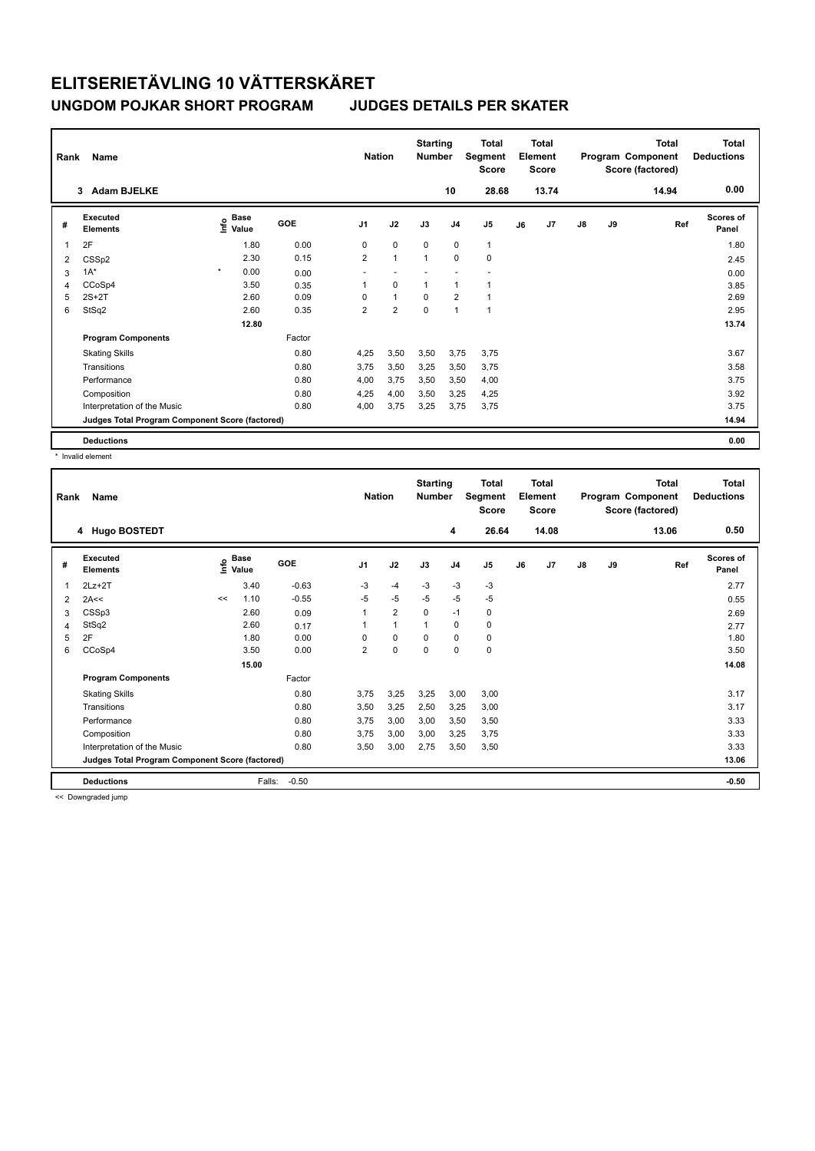| Rank | Name                                            |         |                      |            | <b>Nation</b>  |                | <b>Starting</b><br><b>Number</b> |                | <b>Total</b><br>Segment<br>Score |    | <b>Total</b><br>Element<br><b>Score</b> |               |    | <b>Total</b><br>Program Component<br>Score (factored) | <b>Total</b><br><b>Deductions</b> |
|------|-------------------------------------------------|---------|----------------------|------------|----------------|----------------|----------------------------------|----------------|----------------------------------|----|-----------------------------------------|---------------|----|-------------------------------------------------------|-----------------------------------|
|      | <b>Adam BJELKE</b><br>3                         |         |                      |            |                |                |                                  | 10             | 28.68                            |    | 13.74                                   |               |    | 14.94                                                 | 0.00                              |
| #    | Executed<br><b>Elements</b>                     | ۴       | <b>Base</b><br>Value | <b>GOE</b> | J <sub>1</sub> | J2             | J3                               | J <sub>4</sub> | J <sub>5</sub>                   | J6 | J7                                      | $\mathsf{J}8$ | J9 | Ref                                                   | <b>Scores of</b><br>Panel         |
| 1    | 2F                                              |         | 1.80                 | 0.00       | 0              | $\mathbf 0$    | $\Omega$                         | $\mathbf 0$    | $\mathbf{1}$                     |    |                                         |               |    |                                                       | 1.80                              |
| 2    | CSSp2                                           |         | 2.30                 | 0.15       | $\overline{2}$ | $\mathbf{1}$   | $\overline{1}$                   | $\mathbf 0$    | $\pmb{0}$                        |    |                                         |               |    |                                                       | 2.45                              |
| 3    | $1A^*$                                          | $\star$ | 0.00                 | 0.00       |                |                |                                  |                |                                  |    |                                         |               |    |                                                       | 0.00                              |
| 4    | CCoSp4                                          |         | 3.50                 | 0.35       | 1              | 0              | 1                                | 1              |                                  |    |                                         |               |    |                                                       | 3.85                              |
| 5    | $2S+2T$                                         |         | 2.60                 | 0.09       | 0              | $\mathbf{1}$   | $\mathbf 0$                      | $\overline{2}$ |                                  |    |                                         |               |    |                                                       | 2.69                              |
| 6    | StSq2                                           |         | 2.60                 | 0.35       | $\overline{2}$ | $\overline{2}$ | $\mathbf 0$                      | $\overline{1}$ | 1                                |    |                                         |               |    |                                                       | 2.95                              |
|      |                                                 |         | 12.80                |            |                |                |                                  |                |                                  |    |                                         |               |    |                                                       | 13.74                             |
|      | <b>Program Components</b>                       |         |                      | Factor     |                |                |                                  |                |                                  |    |                                         |               |    |                                                       |                                   |
|      | <b>Skating Skills</b>                           |         |                      | 0.80       | 4,25           | 3,50           | 3,50                             | 3,75           | 3,75                             |    |                                         |               |    |                                                       | 3.67                              |
|      | Transitions                                     |         |                      | 0.80       | 3,75           | 3,50           | 3,25                             | 3,50           | 3,75                             |    |                                         |               |    |                                                       | 3.58                              |
|      | Performance                                     |         |                      | 0.80       | 4,00           | 3,75           | 3,50                             | 3,50           | 4,00                             |    |                                         |               |    |                                                       | 3.75                              |
|      | Composition                                     |         |                      | 0.80       | 4,25           | 4,00           | 3,50                             | 3,25           | 4,25                             |    |                                         |               |    |                                                       | 3.92                              |
|      | Interpretation of the Music                     |         |                      | 0.80       | 4,00           | 3,75           | 3,25                             | 3,75           | 3,75                             |    |                                         |               |    |                                                       | 3.75                              |
|      | Judges Total Program Component Score (factored) |         |                      |            |                |                |                                  |                |                                  |    |                                         |               |    |                                                       | 14.94                             |
|      | <b>Deductions</b>                               |         |                      |            |                |                |                                  |                |                                  |    |                                         |               |    |                                                       | 0.00                              |

\* Invalid element

| Rank | Name<br>4 Hugo BOSTEDT                          |      |                      |         |                | <b>Nation</b>  | <b>Starting</b><br><b>Number</b> | 4              | <b>Total</b><br>Segment<br><b>Score</b><br>26.64 |    | <b>Total</b><br>Element<br><b>Score</b><br>14.08 |               |    | <b>Total</b><br>Program Component<br>Score (factored)<br>13.06 | <b>Total</b><br><b>Deductions</b><br>0.50 |
|------|-------------------------------------------------|------|----------------------|---------|----------------|----------------|----------------------------------|----------------|--------------------------------------------------|----|--------------------------------------------------|---------------|----|----------------------------------------------------------------|-------------------------------------------|
|      |                                                 |      |                      |         |                |                |                                  |                |                                                  |    |                                                  |               |    |                                                                |                                           |
| #    | Executed<br><b>Elements</b>                     | ١nf٥ | <b>Base</b><br>Value | GOE     | J <sub>1</sub> | J2             | J3                               | J <sub>4</sub> | J5                                               | J6 | J7                                               | $\mathsf{J}8$ | J9 | Ref                                                            | Scores of<br>Panel                        |
| 1    | $2Lz+2T$                                        |      | 3.40                 | $-0.63$ | $-3$           | $-4$           | $-3$                             | $-3$           | $-3$                                             |    |                                                  |               |    |                                                                | 2.77                                      |
| 2    | 2A<<                                            | <<   | 1.10                 | $-0.55$ | $-5$           | $-5$           | $-5$                             | $-5$           | $-5$                                             |    |                                                  |               |    |                                                                | 0.55                                      |
| 3    | CSSp3                                           |      | 2.60                 | 0.09    | 1              | $\overline{2}$ | $\mathbf 0$                      | $-1$           | 0                                                |    |                                                  |               |    |                                                                | 2.69                                      |
| 4    | StSq2                                           |      | 2.60                 | 0.17    |                | $\mathbf{1}$   | 1                                | 0              | 0                                                |    |                                                  |               |    |                                                                | 2.77                                      |
| 5    | 2F                                              |      | 1.80                 | 0.00    | $\Omega$       | $\mathbf 0$    | $\Omega$                         | $\Omega$       | 0                                                |    |                                                  |               |    |                                                                | 1.80                                      |
| 6    | CCoSp4                                          |      | 3.50                 | 0.00    | 2              | $\mathbf 0$    | 0                                | 0              | 0                                                |    |                                                  |               |    |                                                                | 3.50                                      |
|      |                                                 |      | 15.00                |         |                |                |                                  |                |                                                  |    |                                                  |               |    |                                                                | 14.08                                     |
|      | <b>Program Components</b>                       |      |                      | Factor  |                |                |                                  |                |                                                  |    |                                                  |               |    |                                                                |                                           |
|      | <b>Skating Skills</b>                           |      |                      | 0.80    | 3.75           | 3,25           | 3,25                             | 3,00           | 3.00                                             |    |                                                  |               |    |                                                                | 3.17                                      |
|      | Transitions                                     |      |                      | 0.80    | 3,50           | 3,25           | 2,50                             | 3,25           | 3,00                                             |    |                                                  |               |    |                                                                | 3.17                                      |
|      | Performance                                     |      |                      | 0.80    | 3.75           | 3,00           | 3,00                             | 3,50           | 3,50                                             |    |                                                  |               |    |                                                                | 3.33                                      |
|      | Composition                                     |      |                      | 0.80    | 3,75           | 3,00           | 3,00                             | 3,25           | 3,75                                             |    |                                                  |               |    |                                                                | 3.33                                      |
|      | Interpretation of the Music                     |      |                      | 0.80    | 3,50           | 3,00           | 2,75                             | 3,50           | 3,50                                             |    |                                                  |               |    |                                                                | 3.33                                      |
|      | Judges Total Program Component Score (factored) |      |                      |         |                |                |                                  |                |                                                  |    |                                                  |               |    |                                                                | 13.06                                     |
|      | <b>Deductions</b>                               |      | Falls:               | $-0.50$ |                |                |                                  |                |                                                  |    |                                                  |               |    |                                                                | $-0.50$                                   |

<< Downgraded jump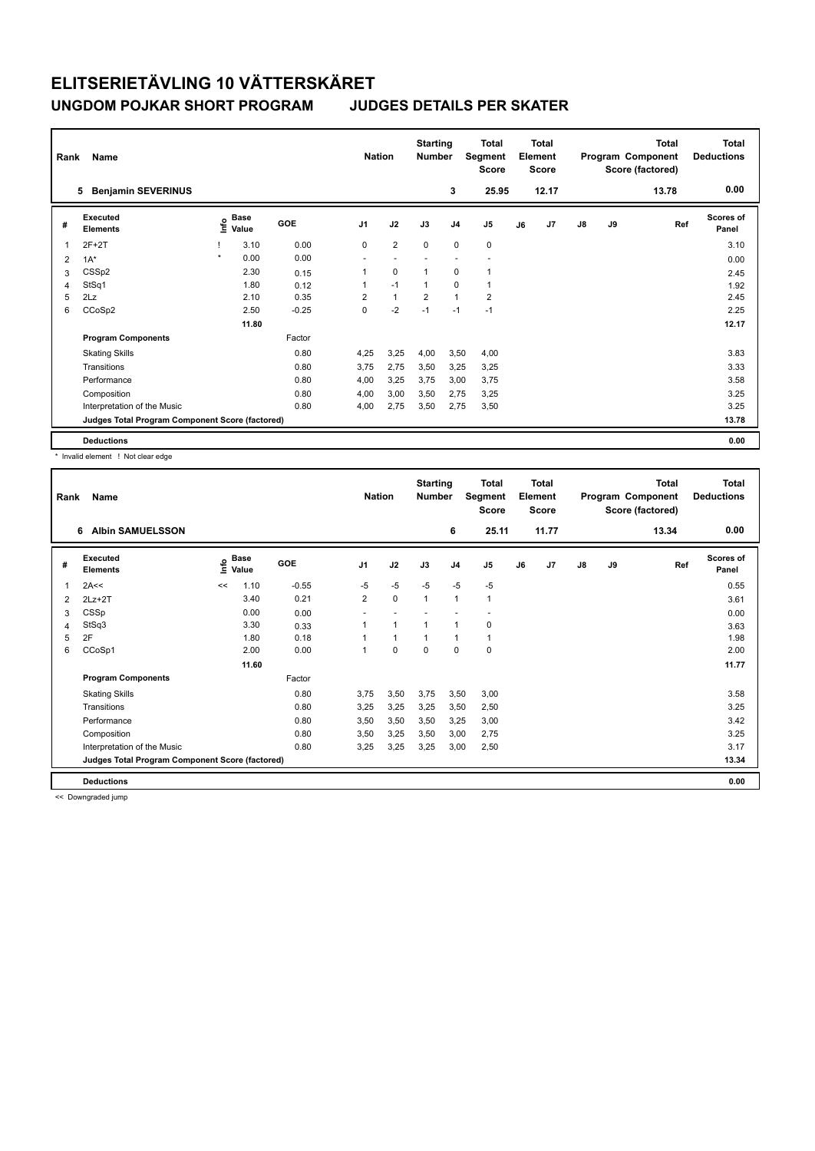| Rank           | Name                                            |         |                      |            | <b>Nation</b>  |                | <b>Starting</b><br><b>Number</b> |                | <b>Total</b><br>Segment<br><b>Score</b> |    | <b>Total</b><br>Element<br><b>Score</b> |               |    | <b>Total</b><br>Program Component<br>Score (factored) | <b>Total</b><br><b>Deductions</b> |
|----------------|-------------------------------------------------|---------|----------------------|------------|----------------|----------------|----------------------------------|----------------|-----------------------------------------|----|-----------------------------------------|---------------|----|-------------------------------------------------------|-----------------------------------|
|                | <b>Benjamin SEVERINUS</b><br>5                  |         |                      |            |                |                |                                  | 3              | 25.95                                   |    | 12.17                                   |               |    | 13.78                                                 | 0.00                              |
| #              | Executed<br><b>Elements</b>                     | ١nf٥    | <b>Base</b><br>Value | <b>GOE</b> | J <sub>1</sub> | J2             | J3                               | J <sub>4</sub> | J <sub>5</sub>                          | J6 | J7                                      | $\mathsf{J}8$ | J9 | Ref                                                   | <b>Scores of</b><br>Panel         |
| 1              | $2F+2T$                                         |         | 3.10                 | 0.00       | $\Omega$       | $\overline{2}$ | $\Omega$                         | $\mathbf 0$    | $\pmb{0}$                               |    |                                         |               |    |                                                       | 3.10                              |
| $\overline{2}$ | $1A^*$                                          | $\star$ | 0.00                 | 0.00       | ٠              |                |                                  |                |                                         |    |                                         |               |    |                                                       | 0.00                              |
| 3              | CSSp2                                           |         | 2.30                 | 0.15       | 1              | $\mathbf 0$    | $\overline{1}$                   | 0              | 1                                       |    |                                         |               |    |                                                       | 2.45                              |
| $\overline{4}$ | StSq1                                           |         | 1.80                 | 0.12       | 1              | $-1$           | $\overline{1}$                   | 0              | $\mathbf{1}$                            |    |                                         |               |    |                                                       | 1.92                              |
| 5              | 2Lz                                             |         | 2.10                 | 0.35       | $\overline{2}$ | $\mathbf{1}$   | $\overline{2}$                   | $\mathbf{1}$   | $\overline{2}$                          |    |                                         |               |    |                                                       | 2.45                              |
| 6              | CCoSp2                                          |         | 2.50                 | $-0.25$    | 0              | $-2$           | $-1$                             | $-1$           | $-1$                                    |    |                                         |               |    |                                                       | 2.25                              |
|                |                                                 |         | 11.80                |            |                |                |                                  |                |                                         |    |                                         |               |    |                                                       | 12.17                             |
|                | <b>Program Components</b>                       |         |                      | Factor     |                |                |                                  |                |                                         |    |                                         |               |    |                                                       |                                   |
|                | <b>Skating Skills</b>                           |         |                      | 0.80       | 4,25           | 3,25           | 4,00                             | 3,50           | 4,00                                    |    |                                         |               |    |                                                       | 3.83                              |
|                | Transitions                                     |         |                      | 0.80       | 3.75           | 2,75           | 3,50                             | 3,25           | 3,25                                    |    |                                         |               |    |                                                       | 3.33                              |
|                | Performance                                     |         |                      | 0.80       | 4,00           | 3,25           | 3,75                             | 3,00           | 3,75                                    |    |                                         |               |    |                                                       | 3.58                              |
|                | Composition                                     |         |                      | 0.80       | 4,00           | 3,00           | 3,50                             | 2,75           | 3,25                                    |    |                                         |               |    |                                                       | 3.25                              |
|                | Interpretation of the Music                     |         |                      | 0.80       | 4,00           | 2,75           | 3,50                             | 2,75           | 3,50                                    |    |                                         |               |    |                                                       | 3.25                              |
|                | Judges Total Program Component Score (factored) |         |                      |            |                |                |                                  |                |                                         |    |                                         |               |    |                                                       | 13.78                             |
|                | <b>Deductions</b>                               |         |                      |            |                |                |                                  |                |                                         |    |                                         |               |    |                                                       | 0.00                              |

\* Invalid element ! Not clear edge

| Rank | Name                                            |      |                      |         | <b>Nation</b>  |           | <b>Starting</b><br><b>Number</b> |                | <b>Total</b><br>Segment<br>Score |    | Total<br>Element<br><b>Score</b> |               |    | <b>Total</b><br>Program Component<br>Score (factored) | <b>Total</b><br><b>Deductions</b> |
|------|-------------------------------------------------|------|----------------------|---------|----------------|-----------|----------------------------------|----------------|----------------------------------|----|----------------------------------|---------------|----|-------------------------------------------------------|-----------------------------------|
|      | <b>Albin SAMUELSSON</b><br>6                    |      |                      |         |                |           |                                  | 6              | 25.11                            |    | 11.77                            |               |    | 13.34                                                 | 0.00                              |
| #    | Executed<br><b>Elements</b>                     | ١nf٥ | <b>Base</b><br>Value | GOE     | J <sub>1</sub> | J2        | J3                               | J <sub>4</sub> | J5                               | J6 | J7                               | $\mathsf{J}8$ | J9 | Ref                                                   | <b>Scores of</b><br>Panel         |
| 1    | 2A<<                                            | <<   | 1.10                 | $-0.55$ | $-5$           | $-5$      | $-5$                             | $-5$           | $-5$                             |    |                                  |               |    |                                                       | 0.55                              |
| 2    | $2Lz+2T$                                        |      | 3.40                 | 0.21    | $\overline{2}$ | $\pmb{0}$ | $\mathbf{1}$                     | $\mathbf{1}$   | 1                                |    |                                  |               |    |                                                       | 3.61                              |
| 3    | CSSp                                            |      | 0.00                 | 0.00    |                |           |                                  |                |                                  |    |                                  |               |    |                                                       | 0.00                              |
| 4    | StSq3                                           |      | 3.30                 | 0.33    |                | 1         | 1                                | $\mathbf{1}$   | 0                                |    |                                  |               |    |                                                       | 3.63                              |
| 5    | 2F                                              |      | 1.80                 | 0.18    |                | 1         | 1                                | $\mathbf{1}$   | 1                                |    |                                  |               |    |                                                       | 1.98                              |
| 6    | CCoSp1                                          |      | 2.00                 | 0.00    | 1              | 0         | 0                                | $\mathbf 0$    | 0                                |    |                                  |               |    |                                                       | 2.00                              |
|      |                                                 |      | 11.60                |         |                |           |                                  |                |                                  |    |                                  |               |    |                                                       | 11.77                             |
|      | <b>Program Components</b>                       |      |                      | Factor  |                |           |                                  |                |                                  |    |                                  |               |    |                                                       |                                   |
|      | <b>Skating Skills</b>                           |      |                      | 0.80    | 3,75           | 3,50      | 3,75                             | 3,50           | 3,00                             |    |                                  |               |    |                                                       | 3.58                              |
|      | Transitions                                     |      |                      | 0.80    | 3,25           | 3,25      | 3,25                             | 3,50           | 2,50                             |    |                                  |               |    |                                                       | 3.25                              |
|      | Performance                                     |      |                      | 0.80    | 3,50           | 3,50      | 3,50                             | 3,25           | 3,00                             |    |                                  |               |    |                                                       | 3.42                              |
|      | Composition                                     |      |                      | 0.80    | 3,50           | 3,25      | 3,50                             | 3,00           | 2,75                             |    |                                  |               |    |                                                       | 3.25                              |
|      | Interpretation of the Music                     |      |                      | 0.80    | 3,25           | 3,25      | 3,25                             | 3,00           | 2,50                             |    |                                  |               |    |                                                       | 3.17                              |
|      | Judges Total Program Component Score (factored) |      |                      |         |                |           |                                  |                |                                  |    |                                  |               |    |                                                       | 13.34                             |
|      | <b>Deductions</b>                               |      |                      |         |                |           |                                  |                |                                  |    |                                  |               |    |                                                       | 0.00                              |

<< Downgraded jump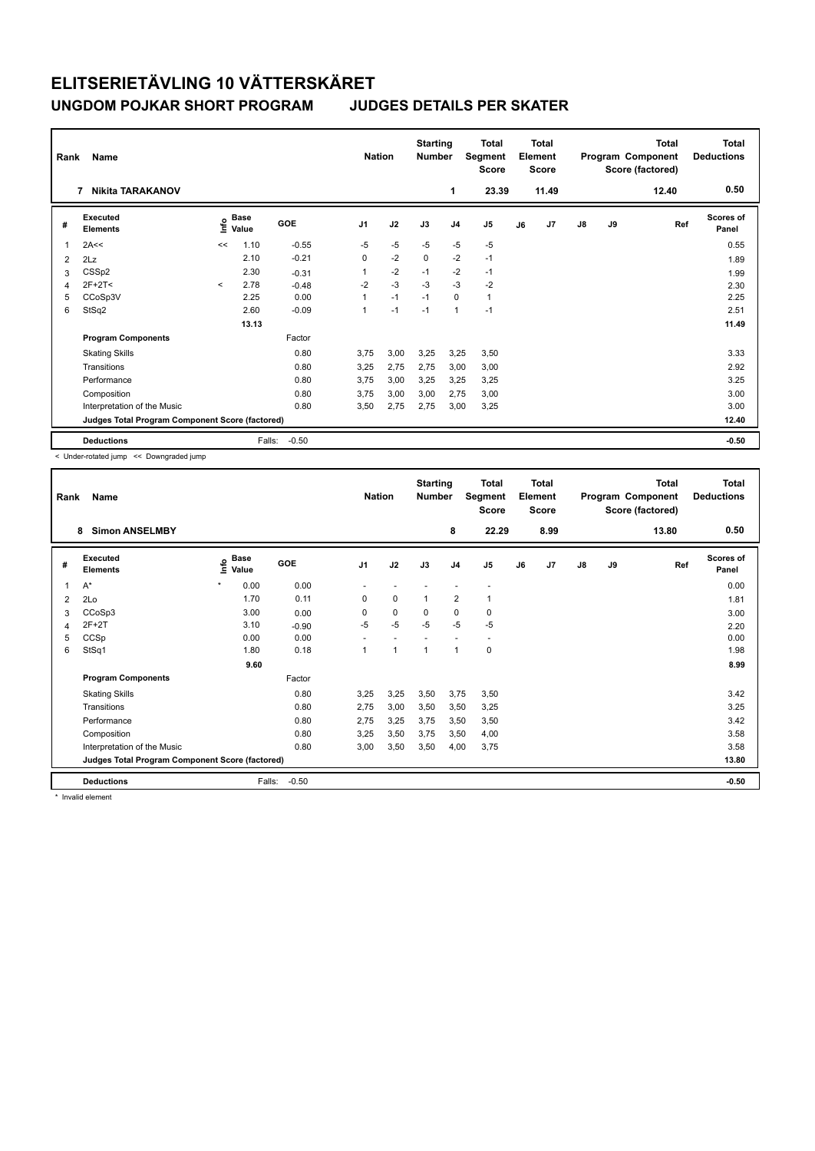| Rank                    | Name                                            |                                  |                      |         | <b>Nation</b>  |      | <b>Starting</b><br><b>Number</b> |                | <b>Total</b><br>Segment<br><b>Score</b> |    | <b>Total</b><br>Element<br><b>Score</b> |               |    | <b>Total</b><br>Program Component<br>Score (factored) | <b>Total</b><br><b>Deductions</b> |
|-------------------------|-------------------------------------------------|----------------------------------|----------------------|---------|----------------|------|----------------------------------|----------------|-----------------------------------------|----|-----------------------------------------|---------------|----|-------------------------------------------------------|-----------------------------------|
|                         | <b>Nikita TARAKANOV</b><br>7                    |                                  |                      |         |                |      |                                  | 1              | 23.39                                   |    | 11.49                                   |               |    | 12.40                                                 | 0.50                              |
| #                       | Executed<br><b>Elements</b>                     | $\mathop{\mathsf{Int}}\nolimits$ | <b>Base</b><br>Value | GOE     | J <sub>1</sub> | J2   | J3                               | J <sub>4</sub> | J5                                      | J6 | J7                                      | $\mathsf{J}8$ | J9 | Ref                                                   | <b>Scores of</b><br>Panel         |
| $\overline{\mathbf{1}}$ | 2A<<                                            | <<                               | 1.10                 | $-0.55$ | -5             | $-5$ | $-5$                             | -5             | $-5$                                    |    |                                         |               |    |                                                       | 0.55                              |
| 2                       | 2Lz                                             |                                  | 2.10                 | $-0.21$ | 0              | $-2$ | $\mathbf 0$                      | $-2$           | $-1$                                    |    |                                         |               |    |                                                       | 1.89                              |
| 3                       | CSSp2                                           |                                  | 2.30                 | $-0.31$ |                | $-2$ | $-1$                             | $-2$           | $-1$                                    |    |                                         |               |    |                                                       | 1.99                              |
| 4                       | $2F+2T<$                                        | $\prec$                          | 2.78                 | $-0.48$ | $-2$           | $-3$ | $-3$                             | $-3$           | $-2$                                    |    |                                         |               |    |                                                       | 2.30                              |
| 5                       | CCoSp3V                                         |                                  | 2.25                 | 0.00    |                | $-1$ | $-1$                             | $\mathbf 0$    | $\mathbf{1}$                            |    |                                         |               |    |                                                       | 2.25                              |
| 6                       | StSq2                                           |                                  | 2.60                 | $-0.09$ | 1              | $-1$ | $-1$                             | $\overline{1}$ | $-1$                                    |    |                                         |               |    |                                                       | 2.51                              |
|                         |                                                 |                                  | 13.13                |         |                |      |                                  |                |                                         |    |                                         |               |    |                                                       | 11.49                             |
|                         | <b>Program Components</b>                       |                                  |                      | Factor  |                |      |                                  |                |                                         |    |                                         |               |    |                                                       |                                   |
|                         | <b>Skating Skills</b>                           |                                  |                      | 0.80    | 3.75           | 3,00 | 3,25                             | 3,25           | 3,50                                    |    |                                         |               |    |                                                       | 3.33                              |
|                         | Transitions                                     |                                  |                      | 0.80    | 3,25           | 2,75 | 2,75                             | 3,00           | 3,00                                    |    |                                         |               |    |                                                       | 2.92                              |
|                         | Performance                                     |                                  |                      | 0.80    | 3.75           | 3,00 | 3,25                             | 3,25           | 3,25                                    |    |                                         |               |    |                                                       | 3.25                              |
|                         | Composition                                     |                                  |                      | 0.80    | 3.75           | 3,00 | 3,00                             | 2,75           | 3,00                                    |    |                                         |               |    |                                                       | 3.00                              |
|                         | Interpretation of the Music                     |                                  |                      | 0.80    | 3,50           | 2,75 | 2,75                             | 3,00           | 3,25                                    |    |                                         |               |    |                                                       | 3.00                              |
|                         | Judges Total Program Component Score (factored) |                                  |                      |         |                |      |                                  |                |                                         |    |                                         |               |    |                                                       | 12.40                             |
|                         | <b>Deductions</b>                               |                                  | Falls:               | $-0.50$ |                |      |                                  |                |                                         |    |                                         |               |    |                                                       | $-0.50$                           |

< Under-rotated jump << Downgraded jump

| Rank | Name                                            |                              |        |         | <b>Nation</b>            |                      | <b>Starting</b><br><b>Number</b> |                          | Total<br>Segment<br><b>Score</b> |    | <b>Total</b><br>Element<br><b>Score</b> |               |    | <b>Total</b><br>Program Component<br>Score (factored) | <b>Total</b><br><b>Deductions</b> |
|------|-------------------------------------------------|------------------------------|--------|---------|--------------------------|----------------------|----------------------------------|--------------------------|----------------------------------|----|-----------------------------------------|---------------|----|-------------------------------------------------------|-----------------------------------|
|      | <b>Simon ANSELMBY</b><br>8                      |                              |        |         |                          |                      |                                  | 8                        | 22.29                            |    | 8.99                                    |               |    | 13.80                                                 | 0.50                              |
| #    | Executed<br><b>Elements</b>                     | <b>Base</b><br>١nf٥<br>Value |        | GOE     | J <sub>1</sub>           | J2                   | J3                               | J <sub>4</sub>           | J <sub>5</sub>                   | J6 | J7                                      | $\mathsf{J}8$ | J9 | Ref                                                   | <b>Scores of</b><br>Panel         |
| 1    | $A^*$                                           | $\star$<br>0.00              |        | 0.00    |                          |                      |                                  |                          | $\overline{\phantom{a}}$         |    |                                         |               |    |                                                       | 0.00                              |
| 2    | 2Lo                                             | 1.70                         |        | 0.11    | 0                        | $\mathbf 0$          | $\overline{1}$                   | $\overline{2}$           | 1                                |    |                                         |               |    |                                                       | 1.81                              |
| 3    | CCoSp3                                          | 3.00                         |        | 0.00    | 0                        | 0                    | 0                                | 0                        | 0                                |    |                                         |               |    |                                                       | 3.00                              |
| 4    | $2F+2T$                                         | 3.10                         |        | $-0.90$ | $-5$                     | $-5$                 | $-5$                             | $-5$                     | $-5$                             |    |                                         |               |    |                                                       | 2.20                              |
| 5    | CCSp                                            | 0.00                         |        | 0.00    | $\overline{\phantom{a}}$ |                      |                                  | $\overline{\phantom{a}}$ | $\sim$                           |    |                                         |               |    |                                                       | 0.00                              |
| 6    | StSq1                                           | 1.80                         |        | 0.18    | $\overline{1}$           | $\blacktriangleleft$ | 1                                | $\mathbf{1}$             | 0                                |    |                                         |               |    |                                                       | 1.98                              |
|      |                                                 |                              | 9.60   |         |                          |                      |                                  |                          |                                  |    |                                         |               |    |                                                       | 8.99                              |
|      | <b>Program Components</b>                       |                              |        | Factor  |                          |                      |                                  |                          |                                  |    |                                         |               |    |                                                       |                                   |
|      | <b>Skating Skills</b>                           |                              |        | 0.80    | 3,25                     | 3,25                 | 3,50                             | 3,75                     | 3,50                             |    |                                         |               |    |                                                       | 3.42                              |
|      | Transitions                                     |                              |        | 0.80    | 2,75                     | 3,00                 | 3,50                             | 3,50                     | 3,25                             |    |                                         |               |    |                                                       | 3.25                              |
|      | Performance                                     |                              |        | 0.80    | 2,75                     | 3,25                 | 3,75                             | 3,50                     | 3,50                             |    |                                         |               |    |                                                       | 3.42                              |
|      | Composition                                     |                              |        | 0.80    | 3,25                     | 3,50                 | 3,75                             | 3,50                     | 4,00                             |    |                                         |               |    |                                                       | 3.58                              |
|      | Interpretation of the Music                     |                              |        | 0.80    | 3,00                     | 3,50                 | 3,50                             | 4,00                     | 3,75                             |    |                                         |               |    |                                                       | 3.58                              |
|      | Judges Total Program Component Score (factored) |                              |        |         |                          |                      |                                  |                          |                                  |    |                                         |               |    |                                                       | 13.80                             |
|      | <b>Deductions</b>                               |                              | Falls: | $-0.50$ |                          |                      |                                  |                          |                                  |    |                                         |               |    |                                                       | $-0.50$                           |

\* Invalid element